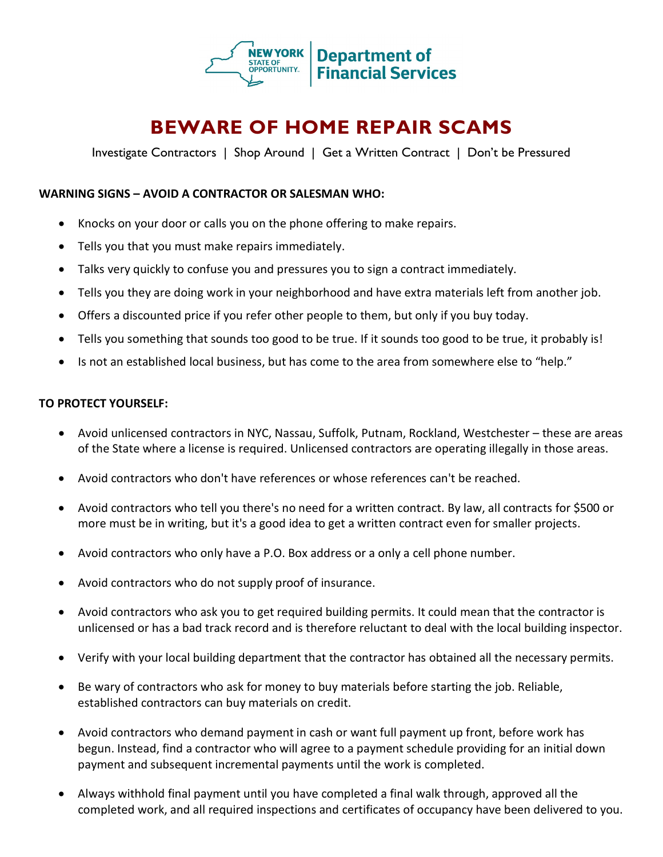

# **BEWARE OF HOME REPAIR SCAMS**

Investigate Contractors | Shop Around | Get a Written Contract | Don't be Pressured

# **WARNING SIGNS – AVOID A CONTRACTOR OR SALESMAN WHO:**

- Knocks on your door or calls you on the phone offering to make repairs.
- Tells you that you must make repairs immediately.
- Talks very quickly to confuse you and pressures you to sign a contract immediately.
- Tells you they are doing work in your neighborhood and have extra materials left from another job.
- Offers a discounted price if you refer other people to them, but only if you buy today.
- Tells you something that sounds too good to be true. If it sounds too good to be true, it probably is!
- Is not an established local business, but has come to the area from somewhere else to "help."

## **TO PROTECT YOURSELF:**

- Avoid unlicensed contractors in NYC, Nassau, Suffolk, Putnam, Rockland, Westchester these are areas of the State where a license is required. Unlicensed contractors are operating illegally in those areas.
- Avoid contractors who don't have references or whose references can't be reached.
- Avoid contractors who tell you there's no need for a written contract. By law, all contracts for \$500 or more must be in writing, but it's a good idea to get a written contract even for smaller projects.
- Avoid contractors who only have a P.O. Box address or a only a cell phone number.
- Avoid contractors who do not supply proof of insurance.
- Avoid contractors who ask you to get required building permits. It could mean that the contractor is unlicensed or has a bad track record and is therefore reluctant to deal with the local building inspector.
- Verify with your local building department that the contractor has obtained all the necessary permits.
- Be wary of contractors who ask for money to buy materials before starting the job. Reliable, established contractors can buy materials on credit.
- Avoid contractors who demand payment in cash or want full payment up front, before work has begun. Instead, find a contractor who will agree to a payment schedule providing for an initial down payment and subsequent incremental payments until the work is completed.
- Always withhold final payment until you have completed a final walk through, approved all the completed work, and all required inspections and certificates of occupancy have been delivered to you.